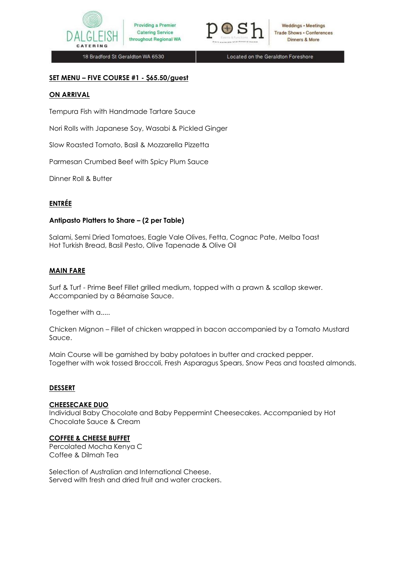



18 Bradford St Geraldton WA 6530

Located on the Geraldton Foreshore

#### **SET MENU – FIVE COURSE #1 - \$65.50/guest**

#### **ON ARRIVAL**

Tempura Fish with Handmade Tartare Sauce

Nori Rolls with Japanese Soy, Wasabi & Pickled Ginger

Slow Roasted Tomato, Basil & Mozzarella Pizzetta

Parmesan Crumbed Beef with Spicy Plum Sauce

Dinner Roll & Butter

# **ENTRÉE**

#### **Antipasto Platters to Share – (2 per Table)**

Salami, Semi Dried Tomatoes, Eagle Vale Olives, Fetta, Cognac Pate, Melba Toast Hot Turkish Bread, Basil Pesto, Olive Tapenade & Olive Oil

#### **MAIN FARE**

Surf & Turf - Prime Beef Fillet grilled medium, topped with a prawn & scallop skewer. Accompanied by a Béarnaise Sauce.

Together with a.....

Chicken Mignon – Fillet of chicken wrapped in bacon accompanied by a Tomato Mustard Sauce.

Main Course will be garnished by baby potatoes in butter and cracked pepper. Together with wok tossed Broccoli, Fresh Asparagus Spears, Snow Peas and toasted almonds.

#### **DESSERT**

### **CHEESECAKE DUO**

Individual Baby Chocolate and Baby Peppermint Cheesecakes. Accompanied by Hot Chocolate Sauce & Cream

#### **COFFEE & CHEESE BUFFET**

Percolated Mocha Kenya C Coffee & Dilmah Tea

Selection of Australian and International Cheese. Served with fresh and dried fruit and water crackers.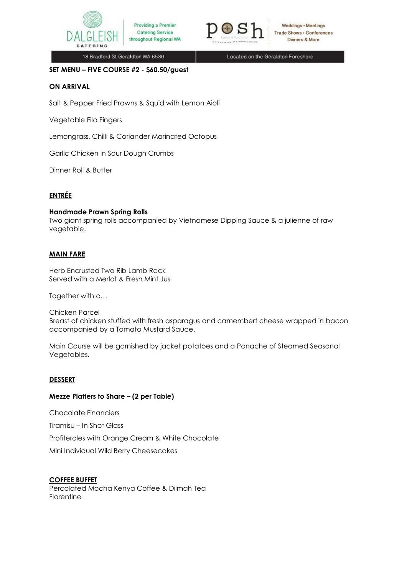

18 Bradford St Geraldton WA 6530

Located on the Geraldton Foreshore

#### **SET MENU – FIVE COURSE #2 - \$60.50/guest**

### **ON ARRIVAL**

Salt & Pepper Fried Prawns & Squid with Lemon Aioli

Providing a Premier

**Catering Service** 

Vegetable Filo Fingers

Lemongrass, Chilli & Coriander Marinated Octopus

Garlic Chicken in Sour Dough Crumbs

Dinner Roll & Butter

# **ENTRÉE**

#### **Handmade Prawn Spring Rolls**

Two giant spring rolls accompanied by Vietnamese Dipping Sauce & a julienne of raw vegetable.

### **MAIN FARE**

Herb Encrusted Two Rib Lamb Rack Served with a Merlot & Fresh Mint Jus

Together with a…

Chicken Parcel Breast of chicken stuffed with fresh asparagus and camembert cheese wrapped in bacon accompanied by a Tomato Mustard Sauce.

Main Course will be garnished by jacket potatoes and a Panache of Steamed Seasonal Vegetables.

### **DESSERT**

### **Mezze Platters to Share – (2 per Table)**

Chocolate Financiers

Tiramisu – In Shot Glass

Profiteroles with Orange Cream & White Chocolate

Mini Individual Wild Berry Cheesecakes

#### **COFFEE BUFFET**

Percolated Mocha Kenya Coffee & Dilmah Tea Florentine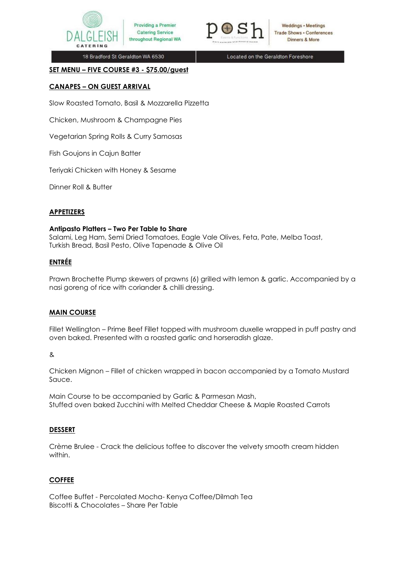

Providing a Premier **Catering Service** throughout Regional WA



Weddings • Meetings **Trade Shows - Conferences** Dinners & More

18 Bradford St Geraldton WA 6530

Located on the Geraldton Foreshore

#### **SET MENU – FIVE COURSE #3 - \$75.00/guest**

# **CANAPES – ON GUEST ARRIVAL**

Slow Roasted Tomato, Basil & Mozzarella Pizzetta

Chicken, Mushroom & Champagne Pies

Vegetarian Spring Rolls & Curry Samosas

Fish Goujons in Cajun Batter

Teriyaki Chicken with Honey & Sesame

Dinner Roll & Butter

### **APPETIZERS**

### **Antipasto Platters – Two Per Table to Share**

Salami, Leg Ham, Semi Dried Tomatoes, Eagle Vale Olives, Feta, Pate, Melba Toast, Turkish Bread, Basil Pesto, Olive Tapenade & Olive Oil

# **ENTRÉE**

Prawn Brochette Plump skewers of prawns (6) grilled with lemon & garlic. Accompanied by a nasi goreng of rice with coriander & chilli dressing.

### **MAIN COURSE**

Fillet Wellington – Prime Beef Fillet topped with mushroom duxelle wrapped in puff pastry and oven baked. Presented with a roasted garlic and horseradish glaze.

&

Chicken Mignon – Fillet of chicken wrapped in bacon accompanied by a Tomato Mustard Sauce.

Main Course to be accompanied by Garlic & Parmesan Mash, Stuffed oven baked Zucchini with Melted Cheddar Cheese & Maple Roasted Carrots

### **DESSERT**

Crème Brulee - Crack the delicious toffee to discover the velvety smooth cream hidden within.

### **COFFEE**

Coffee Buffet - Percolated Mocha- Kenya Coffee/Dilmah Tea Biscotti & Chocolates – Share Per Table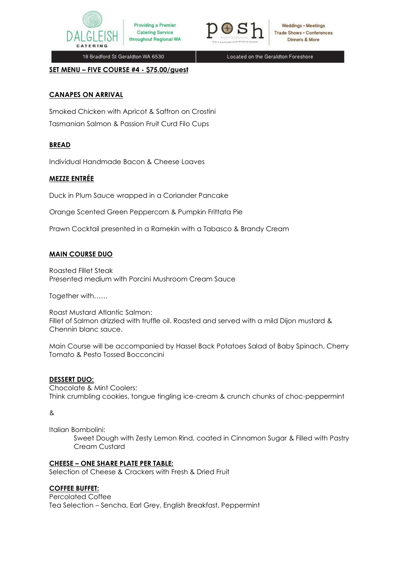



18 Bradford St Geraldton WA 6530

Providing a Premier

**Catering Service** 

throughout Regional WA

Located on the Geraldton Foreshore

**SET MENU – FIVE COURSE #4 - \$75.00/guest** 

# **CANAPES ON ARRIVAL**

Smoked Chicken with Apricot & Saffron on Crostini Tasmanian Salmon & Passion Fruit Curd Filo Cups

# **BREAD**

Individual Handmade Bacon & Cheese Loaves

# **MEZZE ENTRÉE**

Duck in Plum Sauce wrapped in a Coriander Pancake

Orange Scented Green Peppercorn & Pumpkin Frittata Pie

Prawn Cocktail presented in a Ramekin with a Tabasco & Brandy Cream

# **MAIN COURSE DUO**

Roasted Fillet Steak Presented medium with Porcini Mushroom Cream Sauce

Together with……

Roast Mustard Atlantic Salmon: Fillet of Salmon drizzled with truffle oil. Roasted and served with a mild Dijon mustard & Chennin blanc sauce.

Main Course will be accompanied by Hassel Back Potatoes Salad of Baby Spinach, Cherry Tomato & Pesto Tossed Bocconcini

### **DESSERT DUO:**

Chocolate & Mint Coolers: Think crumbling cookies, tongue tingling ice-cream & crunch chunks of choc-peppermint

#### &

Italian Bombolini:

Sweet Dough with Zesty Lemon Rind, coated in Cinnamon Sugar & Filled with Pastry Cream Custard

### **CHEESE – ONE SHARE PLATE PER TABLE:**

Selection of Cheese & Crackers with Fresh & Dried Fruit

### **COFFEE BUFFET:**

Percolated Coffee Tea Selection – Sencha, Earl Grey, English Breakfast, Peppermint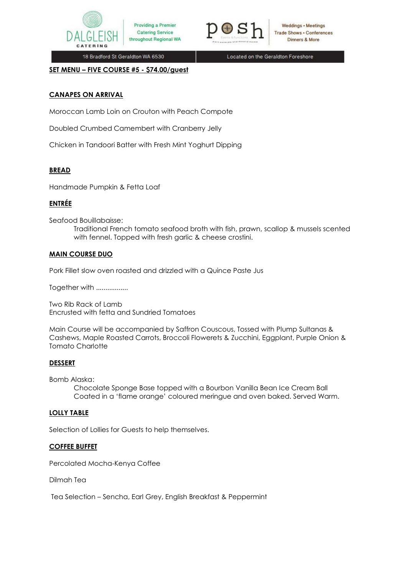



18 Bradford St Geraldton WA 6530

Located on the Geraldton Foreshore

**SET MENU – FIVE COURSE #5 - \$74.00/guest** 

# **CANAPES ON ARRIVAL**

Moroccan Lamb Loin on Crouton with Peach Compote

Providing a Premier

**Catering Service** 

Doubled Crumbed Camembert with Cranberry Jelly

Chicken in Tandoori Batter with Fresh Mint Yoghurt Dipping

### **BREAD**

Handmade Pumpkin & Fetta Loaf

# **ENTRÉE**

Seafood Bouillabaisse:

Traditional French tomato seafood broth with fish, prawn, scallop & mussels scented with fennel. Topped with fresh garlic & cheese crostini.

### **MAIN COURSE DUO**

Pork Fillet slow oven roasted and drizzled with a Quince Paste Jus

Together with ..................

Two Rib Rack of Lamb Encrusted with fetta and Sundried Tomatoes

Main Course will be accompanied by Saffron Couscous, Tossed with Plump Sultanas & Cashews, Maple Roasted Carrots, Broccoli Flowerets & Zucchini, Eggplant, Purple Onion & Tomato Charlotte

### **DESSERT**

Bomb Alaska:

Chocolate Sponge Base topped with a Bourbon Vanilla Bean Ice Cream Ball Coated in a 'flame orange' coloured meringue and oven baked. Served Warm.

#### **LOLLY TABLE**

Selection of Lollies for Guests to help themselves.

### **COFFEE BUFFET**

Percolated Mocha-Kenya Coffee

Dilmah Tea

Tea Selection – Sencha, Earl Grey, English Breakfast & Peppermint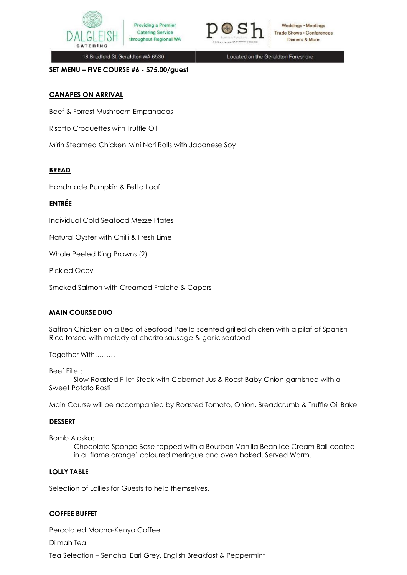

throughout Regional WA

Weddings • Meetings **Trade Shows - Conferences** Dinners & More

18 Bradford St Geraldton WA 6530

Located on the Geraldton Foreshore

**SET MENU – FIVE COURSE #6 - \$75.00/guest**

# **CANAPES ON ARRIVAL**

Beef & Forrest Mushroom Empanadas

Risotto Croquettes with Truffle Oil

Mirin Steamed Chicken Mini Nori Rolls with Japanese Soy

Providing a Premier

**Catering Service** 

# **BREAD**

Handmade Pumpkin & Fetta Loaf

# **ENTRÉE**

Individual Cold Seafood Mezze Plates

Natural Oyster with Chilli & Fresh Lime

Whole Peeled King Prawns (2)

Pickled Occy

Smoked Salmon with Creamed Fraiche & Capers

# **MAIN COURSE DUO**

Saffron Chicken on a Bed of Seafood Paella scented grilled chicken with a pilaf of Spanish Rice tossed with melody of chorizo sausage & garlic seafood

Together With………

Beef Fillet:

Slow Roasted Fillet Steak with Cabernet Jus & Roast Baby Onion garnished with a Sweet Potato Rosti

Main Course will be accompanied by Roasted Tomato, Onion, Breadcrumb & Truffle Oil Bake

### **DESSERT**

Bomb Alaska:

Chocolate Sponge Base topped with a Bourbon Vanilla Bean Ice Cream Ball coated in a 'flame orange' coloured meringue and oven baked. Served Warm.

### **LOLLY TABLE**

Selection of Lollies for Guests to help themselves.

### **COFFEE BUFFET**

Percolated Mocha-Kenya Coffee Dilmah Tea Tea Selection – Sencha, Earl Grey, English Breakfast & Peppermint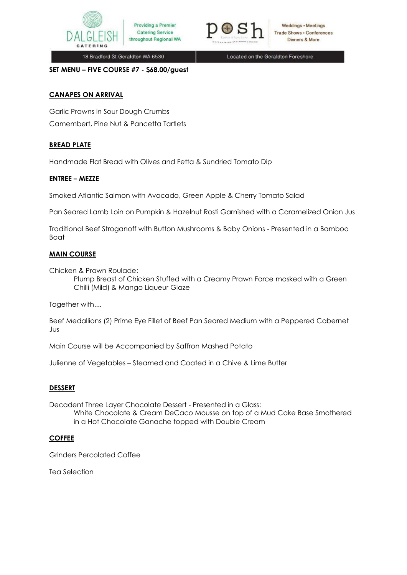

throughout Regional WA

18 Bradford St Geraldton WA 6530

Located on the Geraldton Foreshore

Weddings • Meetings

**Trade Shows . Conferences** 

Dinners & More

**SET MENU – FIVE COURSE #7 - \$68.00/guest** 

### **CANAPES ON ARRIVAL**

Garlic Prawns in Sour Dough Crumbs Camembert, Pine Nut & Pancetta Tartlets

# **BREAD PLATE**

Handmade Flat Bread with Olives and Fetta & Sundried Tomato Dip

Providing a Premier

**Catering Service** 

### **ENTREE – MEZZE**

Smoked Atlantic Salmon with Avocado, Green Apple & Cherry Tomato Salad

Pan Seared Lamb Loin on Pumpkin & Hazelnut Rosti Garnished with a Caramelized Onion Jus

Traditional Beef Stroganoff with Button Mushrooms & Baby Onions - Presented in a Bamboo Boat

### **MAIN COURSE**

Chicken & Prawn Roulade:

Plump Breast of Chicken Stuffed with a Creamy Prawn Farce masked with a Green Chilli (Mild) & Mango Liqueur Glaze

Together with....

Beef Medallions (2) Prime Eye Fillet of Beef Pan Seared Medium with a Peppered Cabernet Jus

Main Course will be Accompanied by Saffron Mashed Potato

Julienne of Vegetables – Steamed and Coated in a Chive & Lime Butter

### **DESSERT**

Decadent Three Layer Chocolate Dessert - Presented in a Glass: White Chocolate & Cream DeCaco Mousse on top of a Mud Cake Base Smothered in a Hot Chocolate Ganache topped with Double Cream

### **COFFEE**

Grinders Percolated Coffee

Tea Selection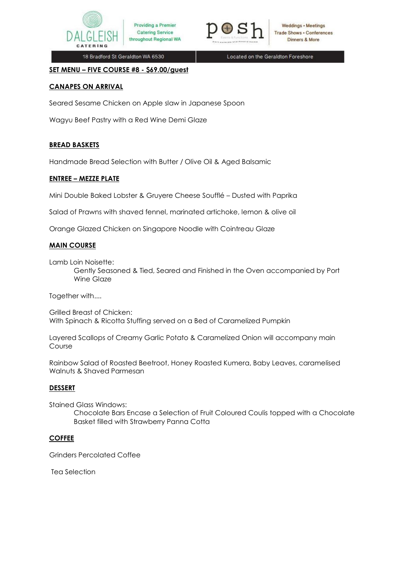



18 Bradford St Geraldton WA 6530

Located on the Geraldton Foreshore

### **SET MENU – FIVE COURSE #8 - \$69.00/guest**

# **CANAPES ON ARRIVAL**

Seared Sesame Chicken on Apple slaw in Japanese Spoon

Providing a Premier

**Catering Service** 

Wagyu Beef Pastry with a Red Wine Demi Glaze

# **BREAD BASKETS**

Handmade Bread Selection with Butter / Olive Oil & Aged Balsamic

### **ENTREE – MEZZE PLATE**

Mini Double Baked Lobster & Gruyere Cheese Soufflé – Dusted with Paprika

Salad of Prawns with shaved fennel, marinated artichoke, lemon & olive oil

Orange Glazed Chicken on Singapore Noodle with Cointreau Glaze

# **MAIN COURSE**

Lamb Loin Noisette:

Gently Seasoned & Tied, Seared and Finished in the Oven accompanied by Port Wine Glaze

Together with....

Grilled Breast of Chicken: With Spinach & Ricotta Stuffing served on a Bed of Caramelized Pumpkin

Layered Scallops of Creamy Garlic Potato & Caramelized Onion will accompany main Course

Rainbow Salad of Roasted Beetroot, Honey Roasted Kumera, Baby Leaves, caramelised Walnuts & Shaved Parmesan

### **DESSERT**

Stained Glass Windows:

Chocolate Bars Encase a Selection of Fruit Coloured Coulis topped with a Chocolate Basket filled with Strawberry Panna Cotta

### **COFFEE**

Grinders Percolated Coffee

Tea Selection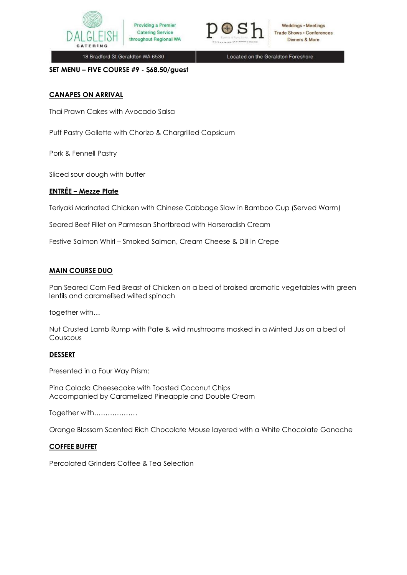

18 Bradford St Geraldton WA 6530

Located on the Geraldton Foreshore

**SET MENU – FIVE COURSE #9 - \$68.50/guest**

# **CANAPES ON ARRIVAL**

Thai Prawn Cakes with Avocado Salsa

Puff Pastry Gallette with Chorizo & Chargrilled Capsicum

Providing a Premier

**Catering Service** 

throughout Regional WA

Pork & Fennell Pastry

Sliced sour dough with butter

# **ENTRÉE – Mezze Plate**

Teriyaki Marinated Chicken with Chinese Cabbage Slaw in Bamboo Cup (Served Warm)

Seared Beef Fillet on Parmesan Shortbread with Horseradish Cream

Festive Salmon Whirl – Smoked Salmon, Cream Cheese & Dill in Crepe

# **MAIN COURSE DUO**

Pan Seared Corn Fed Breast of Chicken on a bed of braised aromatic vegetables with green lentils and caramelised wilted spinach

together with…

Nut Crusted Lamb Rump with Pate & wild mushrooms masked in a Minted Jus on a bed of Couscous

# **DESSERT**

Presented in a Four Way Prism:

Pina Colada Cheesecake with Toasted Coconut Chips Accompanied by Caramelized Pineapple and Double Cream

Together with……………….

Orange Blossom Scented Rich Chocolate Mouse layered with a White Chocolate Ganache

# **COFFEE BUFFET**

Percolated Grinders Coffee & Tea Selection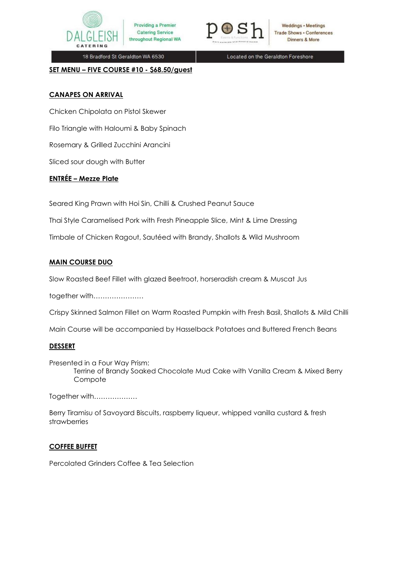

Providing a Premier **Catering Service** throughout Regional WA



Weddings • Meetings **Trade Shows . Conferences** Dinners & More

18 Bradford St Geraldton WA 6530

Located on the Geraldton Foreshore

#### **SET MENU – FIVE COURSE #10 - \$68.50/guest**

### **CANAPES ON ARRIVAL**

Chicken Chipolata on Pistol Skewer

Filo Triangle with Haloumi & Baby Spinach

Rosemary & Grilled Zucchini Arancini

Sliced sour dough with Butter

# **ENTRÉE – Mezze Plate**

Seared King Prawn with Hoi Sin, Chilli & Crushed Peanut Sauce

Thai Style Caramelised Pork with Fresh Pineapple Slice, Mint & Lime Dressing

Timbale of Chicken Ragout, Sautéed with Brandy, Shallots & Wild Mushroom

# **MAIN COURSE DUO**

Slow Roasted Beef Fillet with glazed Beetroot, horseradish cream & Muscat Jus

together with………………….

Crispy Skinned Salmon Fillet on Warm Roasted Pumpkin with Fresh Basil, Shallots & Mild Chilli

Main Course will be accompanied by Hasselback Potatoes and Buttered French Beans

### **DESSERT**

Presented in a Four Way Prism: Terrine of Brandy Soaked Chocolate Mud Cake with Vanilla Cream & Mixed Berry Compote

Together with……………….

Berry Tiramisu of Savoyard Biscuits, raspberry liqueur, whipped vanilla custard & fresh strawberries

# **COFFEE BUFFET**

Percolated Grinders Coffee & Tea Selection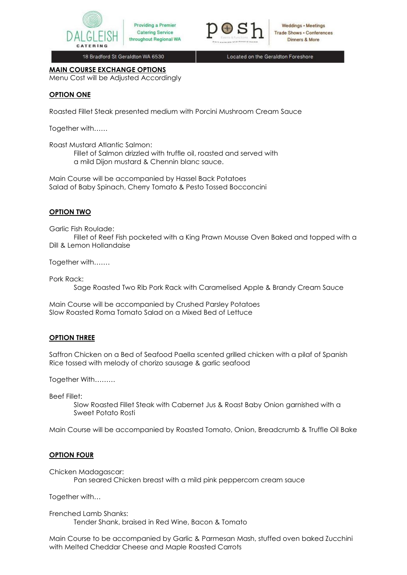



18 Bradford St Geraldton WA 6530

Located on the Geraldton Foreshore

# **MAIN COURSE EXCHANGE OPTIONS**

Menu Cost will be Adjusted Accordingly

# **OPTION ONE**

Roasted Fillet Steak presented medium with Porcini Mushroom Cream Sauce

Together with……

Roast Mustard Atlantic Salmon:

Fillet of Salmon drizzled with truffle oil, roasted and served with a mild Dijon mustard & Chennin blanc sauce.

Main Course will be accompanied by Hassel Back Potatoes Salad of Baby Spinach, Cherry Tomato & Pesto Tossed Bocconcini

# **OPTION TWO**

Garlic Fish Roulade:

Fillet of Reef Fish pocketed with a King Prawn Mousse Oven Baked and topped with a Dill & Lemon Hollandaise

Together with…….

Pork Rack:

Sage Roasted Two Rib Pork Rack with Caramelised Apple & Brandy Cream Sauce

Main Course will be accompanied by Crushed Parsley Potatoes Slow Roasted Roma Tomato Salad on a Mixed Bed of Lettuce

# **OPTION THREE**

Saffron Chicken on a Bed of Seafood Paella scented grilled chicken with a pilaf of Spanish Rice tossed with melody of chorizo sausage & garlic seafood

Together With………

Beef Fillet:

Slow Roasted Fillet Steak with Cabernet Jus & Roast Baby Onion garnished with a Sweet Potato Rosti

Main Course will be accompanied by Roasted Tomato, Onion, Breadcrumb & Truffle Oil Bake

### **OPTION FOUR**

Chicken Madagascar:

Pan seared Chicken breast with a mild pink peppercorn cream sauce

Together with…

Frenched Lamb Shanks: Tender Shank, braised in Red Wine, Bacon & Tomato

Main Course to be accompanied by Garlic & Parmesan Mash, stuffed oven baked Zucchini with Melted Cheddar Cheese and Maple Roasted Carrots